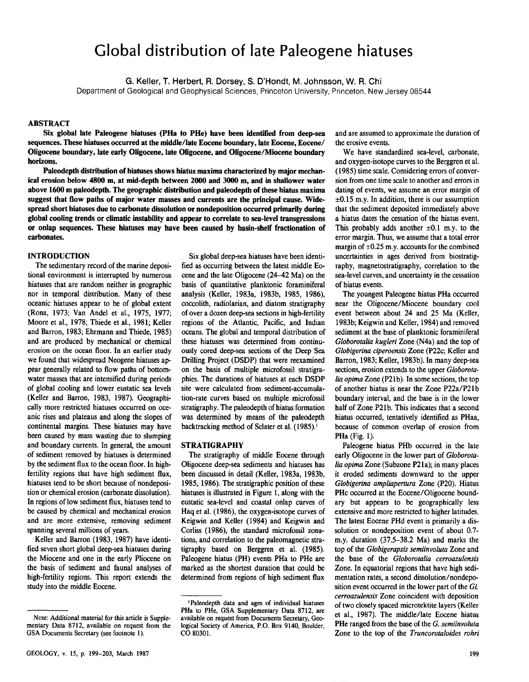# Global distribution of late Paleogene hiatuses

**G. Keller, T. Herbert, R. Dorsey, S. D'Hondt, M. Johnsson, W. R. Chi** 

Department of Geological and Geophysical Sciences, Princeton University, Princeton, New Jersey 08544

# **ABSTRACT**

**Six global late Paleogene hiatuses (PHa to PHe) have been identified from deep-sea sequences. These hiatuses occurred at the middle/late Eocene boundary, late Eocene, Eocene/ Oligocene boundary, late early Oligocene, late Oligocene, and Oligocene/Miocene boundary horizons.** 

**Paleodepth distribution of hiatuses shows hiatus maxima characterized by major mechanical erosion below 4800 m, at mid-depth between 2000 and 3000 m, and in shallower water above 1600 m paleodepth. The geographic distribution and paleodepth of these hiatus maxima suggest that flow paths of major water masses and currents are the principal cause. Widespread short hiatuses due to carbonate dissolution or nondeposition occurred primarily during global cooling trends or climatic instability and appear to correlate to sea-level transgressions or onlap sequences. These hiatuses may have been caused by basin-shelf fractionation of carbonates.** 

## **INTRODUCTION**

The sedimentary record of the marine depositional environment is interrupted by numerous hiatuses that are random neither in geographic nor in temporal distribution. Many of these oceanic hiatuses appear to be of global extent (Rona, 1973; Van Andel et al, 1975, 1977; Moore et al., 1978; Thiede et al., 1981; Keller and Barron, 1983; Ehrmann and Thiede, 1985) and are produced by mechanical or chemical erosion on the ocean floor. In an earlier study we found that widespread Neogene hiatuses appear generally related to flow paths of bottomwater masses that are intensified during periods of global cooling and lower eustatic sea levels (Keller and Barron, 1983, 1987). Geographically more restricted hiatuses occurred on oceanic rises and plateaus and along the slopes of continental margins. These hiatuses may have been caused by mass wasting due to slumping and boundary currents. In general, the amount of sediment removed by hiatuses is determined by the sediment flux to the ocean floor. In highfertility regions that have high sediment flux, hiatuses tend to be short because of nondeposition or chemical erosion (carbonate dissolution). In regions of low sediment flux, hiatuses tend to be caused by chemical and mechanical erosion and are more extensive, removing sediment spanning several millions of years.

Keller and Barron (1983, 1987) have identified seven short global deep-sea hiatuses during the Miocene and one in the early Pliocene on the basis of sediment and faunal analyses of high-fertility regions. This report extends the study into the middle Eocene.

Six global deep-sea hiatuses have been identified as occurring between the latest middle Eocene and the late Oligocene (24-42 Ma) on the basis of quantitative planktonic foraminiferal analysis (Keller, 1983a, 1983b, 1985, 1986), coccolith, radiolarian, and diatom stratigraphy of over a dozen deep-sea sections in high-fertility regions of the Atlantic, Pacific, and Indian oceans. The global and temporal distribution of these hiatuses was determined from continuously cored deep-sea sections of the Deep Sea Drilling Project (DSDP) that were reexamined on the basis of multiple microfossil stratigraphies. The durations of hiatuses at each DSDP site were calculated from sediment-accumulation-rate curves based on multiple microfossil stratigraphy. The paleodepth of hiatus formation was determined by means of the paleodepth backtracking method of Sclater et al. (1985).<sup>1</sup>

#### **STRATIGRAPHY**

The stratigraphy of middle Eocene through Oligocene deep-sea sediments and hiatuses has been discussed in detail (Keller, 1983a, 1983b, 1985, 1986). The stratigraphic position of these hiatuses is illustrated in Figure 1, along with the eustatic sea-level and coastal onlap curves of Haq et al. (1986), the oxygen-isotope curves of Keigwin and Keller (1984) and Keigwin and Corliss (1986), the standard microfossil zonations, and correlation to the paleomagnetic stratigraphy based on Berggren et al. (1985). Paleogene hiatus (PH) events PHa to PHe are marked as the shortest duration that could be determined from regions of high sediment flux

and are assumed to approximate the duration of the erosive events.

We have standardized sea-level, carbonate, and oxygen-isotope curves to the Berggren et al. (1985) time scale. Considering errors of conversion from one time scale to another and errors in dating of events, we assume an error margin of  $\pm 0.15$  m.y. In addition, there is our assumption that the sediment deposited immediately above a hiatus dates the cessation of the hiatus event. This probably adds another  $\pm 0.1$  m.y. to the error margin. Thus, we assume that a total error margin of  $\pm 0.25$  m.y. accounts for the combined uncertainties in ages derived from biostratigraphy, magnetostratigraphy, correlation to the sea-level curves, and uncertainty in the cessation of hiatus events.

The youngest Paleogene hiatus PHa occurred near the Oligocene/Miocene boundary cool event between about 24 and 25 Ma (Keller, 1983b; Keigwin and Keller, 1984) and removed sediment at the base of planktonic foraminiferal *Globorotalia kugleri* Zone (N4a) and the top of *Globigerina ciperoensis* Zone (P22c; Keller and Barron, 1983; Keller, 1983b). In many deep-sea sections, erosion extends to the upper *Globorotalia opima* Zone (P21b). In some sections, the top of another hiatus is near the Zone P22a/P21b boundary interval, and the base is in the lower half of Zone P21b. This indicates that a second hiatus occurred, tentatively identified as PHaa, because of common overlap of erosion from PHa (Fig. 1).

Paleogene hiatus PHb occurred in the late early Oligocene in the lower part of *Globorotalia opima* Zone (Subzone P21a); in many places it eroded sediments downward to the upper *Globigerina ampliapertura* Zone (P20). Hiatus PHc occurred at the Eocene/Oligocene boundary but appears to be geographically less extensive and more restricted to higher latitudes. The latest Eocene PHd event is primarily a dissolution or nondeposition event of about 0.7 m.y. duration (37.5-38.2 Ma) and marks the top of the *Globigerapsis semiinvoluta* Zone and the base of the *Globorotalia cerroazulensis*  Zone. In equatorial regions that have high sedimentation rates, a second dissolution/nondeposition event occurred in the lower part of the *GL cerroazulensis* Zone coincident with deposition of two closely spaced microtektite layers (Keller et al, 1987). The middle/late Eocene hiatus PHe ranged from the base of the *G. semiinvoluta*  Zone to the top of the *Truncorotaloides rohri* 

**Note: Additional material for this article is Supplementary Data 8712, available on request from the GSA Documents Secretary (see footnote 1).** 

**<sup>&#</sup>x27;Paleodepth data and ages of individual hiatuses PHa to PHe, GSA Supplementary Data 8712, are available on request from Documents Secretary, Geological Society of America, P.O. Box 9140, Boulder, CO 80301.**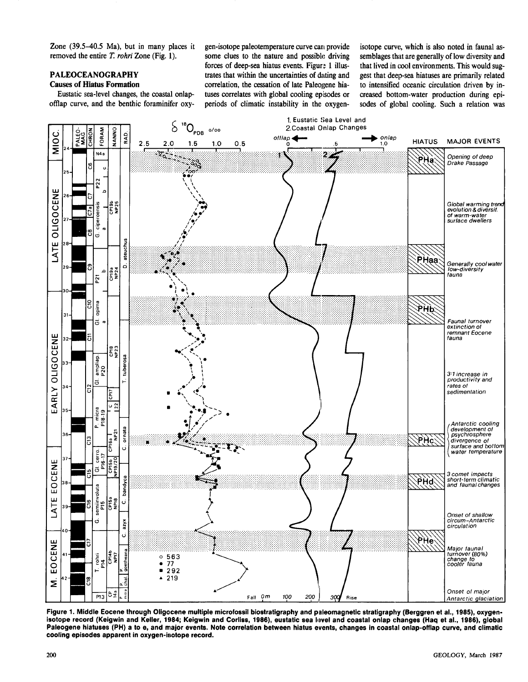Zone (39.5-40.5 Ma), but in many places it gen-isotope paleotemperature curve can provide removed the entire *T. rohri* Zone (Fig. 1).

# **PALEOCEANOGRAPHY**

# **Causes of Hiatus Formation**

Eustatic sea-level changes, the coastal onlap-

some clues to the nature and possible driving forces of deep-sea hiatus events. Figure 1 illustrates that within the uncertainties of dating and correlation, the cessation of late Paleogene hiatuses correlates with global cooling episodes or offlap curve, and the benthic foraminifer oxy- periods of climatic instability in the oxygenisotope curve, which is also noted in faunal assemblages that are generally of low diversity and that lived in cool environments. This would suggest that deep-sea hiatuses are primarily related to intensified oceanic circulation driven by increased bottom-water production during episodes of global cooling. Such a relation was



**Figure 1. Middle Eocene through Oiigocene multiple microfossil biostratigraphy and paleomagnetic stratigraphy (Berggren et al., 1985), oxygen**isotope record (Keigwin and Keller, 1984; Keigwin and Corliss, 1986), eustatic sea level and coastal onlap changes (Haq et al., 1986), global **Paleogene hiatuses (PH) a to e, and major events. Note correlation between hiatus events, changes in coastal onlap-offlap curve, and climatic cooling episodes apparent in oxygen-isotope record.**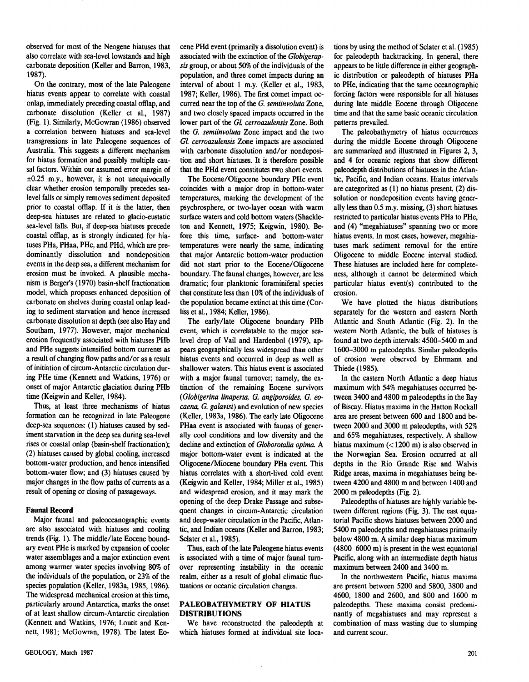observed for most of the Neogene hiatuses that also correlate with sea-level lowstands and high carbonate deposition (Keller and Barron, 1983, 1987).

On the contrary, most of the late Paleogene hiatus events appear to correlate with coastal onlap, immediately preceding coastal offlap, and carbonate dissolution (Keller et al., 1987) (Fig. 1). Similarly, McGowran (1986) observed a correlation between hiatuses and sea-level transgressions in late Paleogene sequences of Australia. This suggests a different mechanism for hiatus formation and possibly multiple causal factors. Within our assumed error margin of  $\pm 0.25$  m.y., however, it is not unequivocally clear whether erosion temporally precedes sealevel falls or simply removes sediment deposited prior to coastal offlap. If it is the latter, then deep-sea hiatuses are related to glacio-eustatic sea-level falls. But, if deep-sea hiatuses precede coastal offlap, as is strongly indicated for hiatuses PHa, PHaa, PHc, and PHd, which are predominantly dissolution and nondeposition events in the deep sea, a different mechanism for erosion must be invoked. A plausible mechanism is Berger's (1970) basin-shelf fractionation model, which proposes enhanced deposition of carbonate on shelves during coastal onlap leading to sediment starvation and hence increased carbonate dissolution at depth (see also Hay and Southam, 1977). However, major mechanical erosion frequently associated with hiatuses PHb and PHe suggests intensified bottom currents as a result of changing flow paths and/or as a result of initiation of circum-Antarctic circulation during PHe time (Kennett and Watkins, 1976) or onset of major Antarctic glaciation during PHb time (Keigwin and Keller, 1984).

Thus, at least three mechanisms of hiatus formation can be recognized in late Paleogene deep-sea sequences: (1) hiatuses caused by sediment starvation in the deep sea during sea-level rises or coastal onlap (basin-shelf fractionation); (2) hiatuses caused by global cooling, increased bottom-water production, and hence intensified bottom-water flow; and (3) hiatuses caused by major changes in the flow paths of currents as a result of opening or closing of passageways.

#### **Faunal Record**

Major faunal and paleoceanographic events are also associated with hiatuses and cooling trends (Fig. 1). The middle/late Eocene boundary event PHe is marked by expansion of cooler water assemblages and a major extinction event among warmer water species involving 80% of the individuals of the population, or 23% of the species population (Keller, 1983a, 1985, 1986). The widespread mechanical erosion at this time, particularly around Antarctica, marks the onset of at least shallow circum-Antarctic circulation (Kennett and Watkins, 1976; Loutit and Kennett, 1981; McGowran, 1978). The latest Eocene PHd event (primarily a dissolution event) is associated with the extinction of the *Globigerapsis* group, or about 50% of the individuals of the population, and three comet impacts during an interval of about 1 m.y. (Keller et al., 1983, 1987; Keller, 1986). The first comet impact occurred near the top of the *G. semiinvoluta* Zone, and two closely spaced impacts occurred in the lower part of the *GL cerroazulensis* Zone. Both the *G. semiinvoluta* Zone impact and the two *GL cerroazulensis* Zone impacts are associated with carbonate dissolution and/or nondeposition and short hiatuses. It is therefore possible that the PHd event constitutes two short events.

The Eocene/Oligocene boundary PHc event coincides with a major drop in bottom-water temperatures, marking the development of the psychrosphere, or two-layer ocean with warm surface waters and cold bottom waters (Shackleton and Kennett, 1975; Keigwin, 1980). Before this time, surface- and bottom-water temperatures were nearly the same, indicating that major Antarctic bottom-water production did not start prior to the Eocene/Oligocene boundary. The faunal changes, however, are less dramatic; four planktonic foraminiferal species that constitute less than 10% of the individuals of the population became extinct at this time (Corliss et al, 1984; Keller, 1986).

The early/late Oligocene boundary PHb event, which is correlatable to the major sealevel drop of Vail and Hardenbol (1979), appears geographically less widespread than other hiatus events and occurred in deep as well as shallower waters. This hiatus event is associated with a major faunal turnover; namely, the extinction of the remaining Eocene survivors *(Globigerina linaperta, G. angiporoides, G. eocaena, G. galavisi)* and evolution of new species (Keller, 1983a, 1986). The early late Oligocene PHaa event is associated with faunas of generally cool conditions and low diversity and the decline and extinction of *Globorotalia opima* A major bottom-water event is indicated at the Oligocene/Miocene boundary PHa event. This hiatus correlates with a short-lived cold event (Keigwin and Keller, 1984; Miller et al, 1985) and widespread erosion, and it may mark the opening of the deep Drake Passage and subsequent changes in circum-Antarctic circulation and deep-water circulation in the Pacific, Atlantic, and Indian oceans (Keller and Barron, 1983; Sclater et al., 1985).

Thus, each of the late Paleogene hiatus events is associated with a time of major faunal turnover representing instability in the oceanic realm, either as a result of global climatic fluctuations or oceanic circulation changes.

## **PALEOBATHYMETRY OF HIATUS DISTRIBUTIONS**

We have reconstructed the paleodepth at which hiatuses formed at individual site locations by using the method of Sclater et al. (1985) for paleodepth backtracking. In general, there appears to be little difference in either geographic distribution or paleodepth of hiatuses PHa to PHe, indicating that the same oceanographic forcing factors were responsible for all hiatuses during late middle Eocene through Oligocene time and that the same basic oceanic circulation patterns prevailed.

The paleobathymetry of hiatus occurrences during the middle Eocene through Oligocene are summarized and illustrated in Figures 2, 3, and 4 for oceanic regions that show different paleodepth distributions of hiatuses in the Atlantic, Pacific, and Indian oceans. Hiatus intervals are categorized as (1) no hiatus present, (2) dissolution or nondeposition events having generally less than 0.5 m.y. missing, (3) short hiatuses restricted to particular hiatus events PHa to PHe, and (4) "megahiatuses" spanning two or more hiatus events. In most cases, however, megahiatuses mark sediment removal for the entire Oligocene to middle Eocene interval studied. These hiatuses are included here for completeness, although it cannot be determined which particular hiatus event(s) contributed to the erosion.

We have plotted the hiatus distributions separately for the western and eastern North Atlantic and South Atlantic (Fig. 2). In the western North Atlantic, the bulk of hiatuses is found at two depth intervals: 4500-5400 m and 1600-3000 m paleodepths. Similar paleodepths of erosion were observed by Ehrmann and Thiede (1985).

In the eastern North Atlantic a deep hiatus maximum with 54% megahiatuses occurred between 3400 and 4800 m paleodepths in the Bay of Biscay. Hiatus maxima in the Hatton Rockall area are present between 600 and 1800 and between 2000 and 3000 m paleodepths, with 52% and 65% megahiatuses, respectively. A shallow hiatus maximum (< 1200 m) is also observed in the Norwegian Sea. Erosion occurred at all depths in the Rio Grande Rise and Walvis Ridge areas, maxima in megahiatuses being between 4200 and 4800 m and between 1400 and 2000 m paleodepths (Fig. 2).

Paleodepths of hiatuses are highly variable between different regions (Fig. 3). The east equatorial Pacific shows hiatuses between 2000 and 5400 m paleodepths and megahiatuses primarily below 4800 m. A similar deep hiatus maximum (4800-6000 m) is present in the west equatorial Pacific, along with an intermediate depth hiatus maximum between 2400 and 3400 m.

In the northwestern Pacific, hiatus maxima are present between 5200 and 5800, 3800 and 4600, 1800 and 2600, and 800 and 1600 m paleodepths. These maxima consist predominantly of megahiatuses and may represent a combination of mass wasting due to slumping and current scour.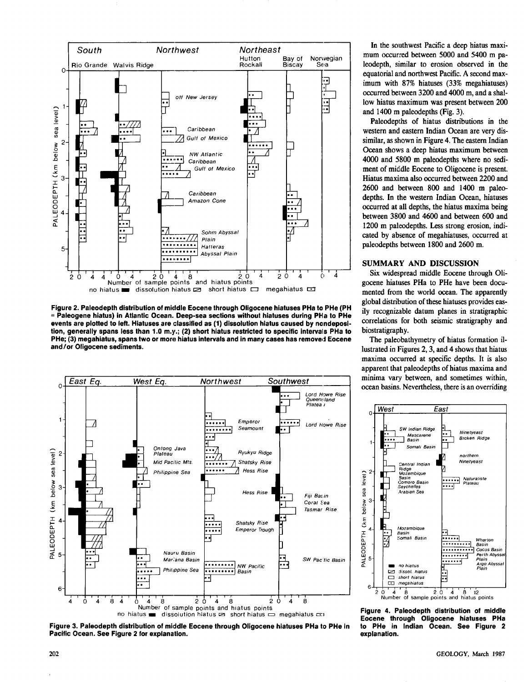

Figure 2. Paleodepth distribution of middle Eocene through Oligocene hiatuses PHa to PHe (PH = Paleogene hiatus) in Atlantic Ocean. Deep-sea sections without hiatuses during PHa to PHe events are plotted to left. Hiatuses are classified as (1) dissolution hiatus caused by nondeposition, generally spans less than 1.0 m.y.; (2) short hiatus restricted to specific intervals PHa to PHe; (3) megahiatus, spans two or more hiatus intervals and in many cases has removed Eocene and/or Oligocene sediments.



Figure 3. Paleodepth distribution of middle Eocene through Oligocene hiatuses PHa to PHe in Pacific Ocean. See Figure 2 for explanation.

In the southwest Pacific a deep hiatus maximum occurred between 5000 and 5400 m paleodepth, similar to erosion observed in the equatorial and northwest Pacific. A second maximum with 87% hiatuses (33% megahiatuses) occurred between 3200 and 4000 m, and a shallow hiatus maximum was present between 200 and 1400 m paleodepths (Fig. 3).

Paleodepths of hiatus distributions in the western and eastern Indian Ocean are very dissimilar, as shown in Figure 4. The eastern Indian Ocean shows a deep hiatus maximum between 4000 and 5800 m paleodepths where no sediment of middle Eocene to Oligocene is present. Hiatus maxima also occurred between 2200 and 2600 and between 800 and 1400 m paleodepths. In the western Indian Ocean, hiatuses occurred at all depths, the hiatus maxima being between 3800 and 4600 and between 600 and 1200 m paleodepths. Less strong erosion. indicated by absence of megahiatuses, occurred at paleodepths between 1800 and 2600 m.

## SUMMARY AND DISCUSSION

Six widespread middle Eocene through Oligocene hiatuses PHa to PHe have been documented from the world ocean. The apparently global distribution of these hiatuses provides easily recognizable datum planes in stratigraphic correlations for both seismic stratigraphy and biostratigraphy.

The paleobathymetry of hiatus formation illustrated in Figures 2, 3, and 4 shows that hiatus maxima occurred at specific depths. It is also apparent that paleodepths of hiatus maxima and minima vary between, and sometimes within, ocean basins. Nevertheless, there is an overriding



Figure 4. Paleodepth distribution of middle Eocene through Oligocene hiatuses PHa to PHe in Indian Ocean. See Figure 2 explanation.